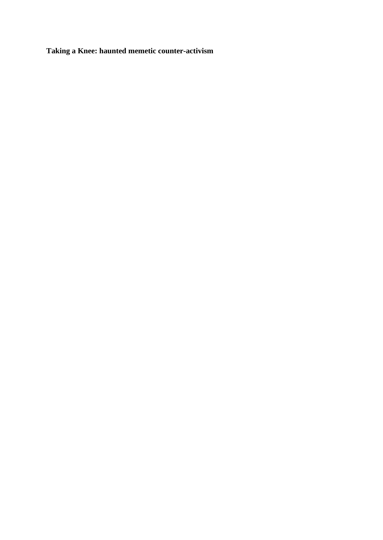**Taking a Knee: haunted memetic counter-activism**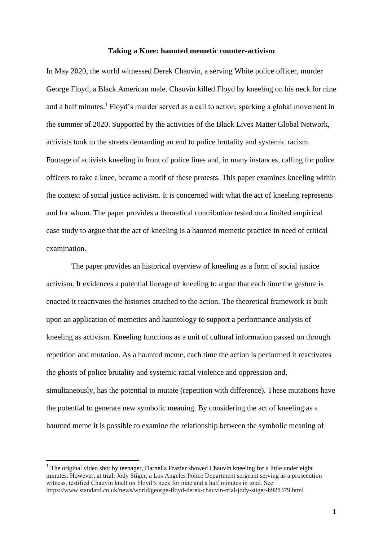### **Taking a Knee: haunted memetic counter-activism**

In May 2020, the world witnessed Derek Chauvin, a serving White police officer, murder George Floyd, a Black American male. Chauvin killed Floyd by kneeling on his neck for nine and a half minutes.<sup>1</sup> Floyd's murder served as a call to action, sparking a global movement in the summer of 2020. Supported by the activities of the Black Lives Matter Global Network, activists took to the streets demanding an end to police brutality and systemic racism. Footage of activists kneeling in front of police lines and, in many instances, calling for police officers to take a knee, became a motif of these protests. This paper examines kneeling within the context of social justice activism. It is concerned with what the act of kneeling represents and for whom. The paper provides a theoretical contribution tested on a limited empirical case study to argue that the act of kneeling is a haunted memetic practice in need of critical examination.

The paper provides an historical overview of kneeling as a form of social justice activism. It evidences a potential lineage of kneeling to argue that each time the gesture is enacted it reactivates the histories attached to the action. The theoretical framework is built upon an application of memetics and hauntology to support a performance analysis of kneeling as activism. Kneeling functions as a unit of cultural information passed on through repetition and mutation. As a haunted meme, each time the action is performed it reactivates the ghosts of police brutality and systemic racial violence and oppression and, simultaneously, has the potential to mutate (repetition with difference). These mutations have the potential to generate new symbolic meaning. By considering the act of kneeling as a haunted meme it is possible to examine the relationship between the symbolic meaning of

<sup>&</sup>lt;sup>1</sup> The original video shot by teenager, Darnella Frazier showed Chauvin kneeling for a little under eight minutes. However, at trial, Jody Stiger, a Los Angeles Police Department sergeant serving as a prosecution witness, testified Chauvin knelt on Floyd's neck for nine and a half minutes in total. See https://www.standard.co.uk/news/world/george-floyd-derek-chauvin-trial-jody-stiger-b928379.html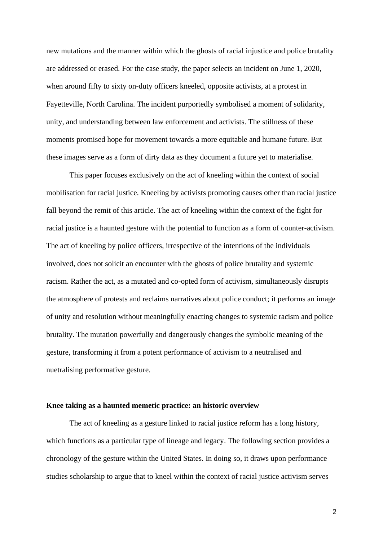new mutations and the manner within which the ghosts of racial injustice and police brutality are addressed or erased. For the case study, the paper selects an incident on June 1, 2020, when around fifty to sixty on-duty officers kneeled, opposite activists, at a protest in Fayetteville, North Carolina. The incident purportedly symbolised a moment of solidarity, unity, and understanding between law enforcement and activists. The stillness of these moments promised hope for movement towards a more equitable and humane future. But these images serve as a form of dirty data as they document a future yet to materialise.

This paper focuses exclusively on the act of kneeling within the context of social mobilisation for racial justice. Kneeling by activists promoting causes other than racial justice fall beyond the remit of this article. The act of kneeling within the context of the fight for racial justice is a haunted gesture with the potential to function as a form of counter-activism. The act of kneeling by police officers, irrespective of the intentions of the individuals involved, does not solicit an encounter with the ghosts of police brutality and systemic racism. Rather the act, as a mutated and co-opted form of activism, simultaneously disrupts the atmosphere of protests and reclaims narratives about police conduct; it performs an image of unity and resolution without meaningfully enacting changes to systemic racism and police brutality. The mutation powerfully and dangerously changes the symbolic meaning of the gesture, transforming it from a potent performance of activism to a neutralised and nuetralising performative gesture.

## **Knee taking as a haunted memetic practice: an historic overview**

The act of kneeling as a gesture linked to racial justice reform has a long history, which functions as a particular type of lineage and legacy. The following section provides a chronology of the gesture within the United States. In doing so, it draws upon performance studies scholarship to argue that to kneel within the context of racial justice activism serves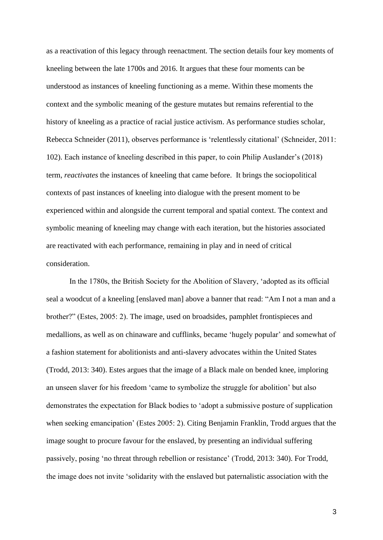as a reactivation of this legacy through reenactment. The section details four key moments of kneeling between the late 1700s and 2016. It argues that these four moments can be understood as instances of kneeling functioning as a meme. Within these moments the context and the symbolic meaning of the gesture mutates but remains referential to the history of kneeling as a practice of racial justice activism. As performance studies scholar, Rebecca Schneider (2011), observes performance is 'relentlessly citational' (Schneider, 2011: 102). Each instance of kneeling described in this paper, to coin Philip Auslander's (2018) term, *reactivates* the instances of kneeling that came before. It brings the sociopolitical contexts of past instances of kneeling into dialogue with the present moment to be experienced within and alongside the current temporal and spatial context. The context and symbolic meaning of kneeling may change with each iteration, but the histories associated are reactivated with each performance, remaining in play and in need of critical consideration.

In the 1780s, the British Society for the Abolition of Slavery, 'adopted as its official seal a woodcut of a kneeling [enslaved man] above a banner that read: "Am I not a man and a brother?" (Estes, 2005: 2). The image, used on broadsides, pamphlet frontispieces and medallions, as well as on chinaware and cufflinks, became 'hugely popular' and somewhat of a fashion statement for abolitionists and anti-slavery advocates within the United States (Trodd, 2013: 340). Estes argues that the image of a Black male on bended knee, imploring an unseen slaver for his freedom 'came to symbolize the struggle for abolition' but also demonstrates the expectation for Black bodies to 'adopt a submissive posture of supplication when seeking emancipation' (Estes 2005: 2). Citing Benjamin Franklin, Trodd argues that the image sought to procure favour for the enslaved, by presenting an individual suffering passively, posing 'no threat through rebellion or resistance' (Trodd, 2013: 340). For Trodd, the image does not invite 'solidarity with the enslaved but paternalistic association with the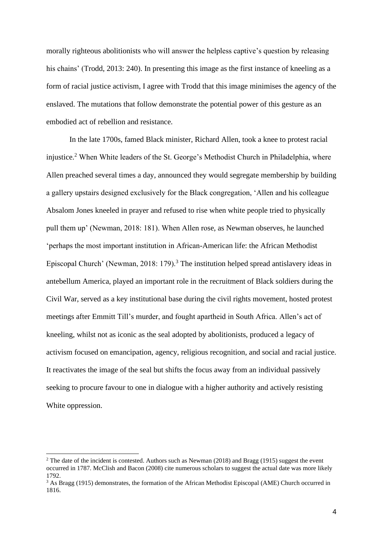morally righteous abolitionists who will answer the helpless captive's question by releasing his chains' (Trodd, 2013: 240). In presenting this image as the first instance of kneeling as a form of racial justice activism, I agree with Trodd that this image minimises the agency of the enslaved. The mutations that follow demonstrate the potential power of this gesture as an embodied act of rebellion and resistance.

In the late 1700s, famed Black minister, Richard Allen, took a knee to protest racial injustice.<sup>2</sup> When White leaders of the St. George's Methodist Church in Philadelphia, where Allen preached several times a day, announced they would segregate membership by building a gallery upstairs designed exclusively for the Black congregation, 'Allen and his colleague Absalom Jones kneeled in prayer and refused to rise when white people tried to physically pull them up' (Newman, 2018: 181). When Allen rose, as Newman observes, he launched 'perhaps the most important institution in African-American life: the African Methodist Episcopal Church' (Newman, 2018: 179).<sup>3</sup> The institution helped spread antislavery ideas in antebellum America, played an important role in the recruitment of Black soldiers during the Civil War, served as a key institutional base during the civil rights movement, hosted protest meetings after Emmitt Till's murder, and fought apartheid in South Africa. Allen's act of kneeling, whilst not as iconic as the seal adopted by abolitionists, produced a legacy of activism focused on emancipation, agency, religious recognition, and social and racial justice. It reactivates the image of the seal but shifts the focus away from an individual passively seeking to procure favour to one in dialogue with a higher authority and actively resisting White oppression.

<sup>&</sup>lt;sup>2</sup> The date of the incident is contested. Authors such as Newman (2018) and Bragg (1915) suggest the event occurred in 1787. McClish and Bacon (2008) cite numerous scholars to suggest the actual date was more likely 1792.

<sup>&</sup>lt;sup>3</sup> As Bragg (1915) demonstrates, the formation of the African Methodist Episcopal (AME) Church occurred in 1816.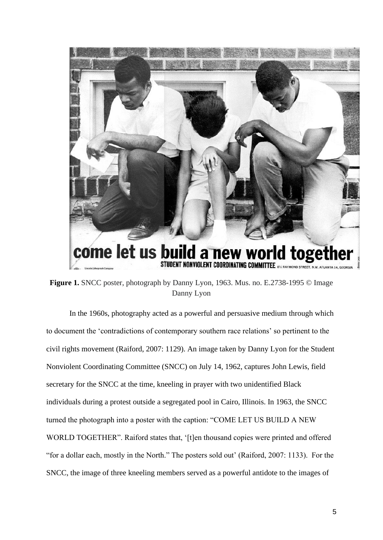

**Figure 1.** SNCC poster, photograph by Danny Lyon, 1963. Mus. no. E.2738-1995 © Image Danny Lyon

In the 1960s, photography acted as a powerful and persuasive medium through which to document the 'contradictions of contemporary southern race relations' so pertinent to the civil rights movement (Raiford, 2007: 1129). An image taken by Danny Lyon for the Student Nonviolent Coordinating Committee (SNCC) on July 14, 1962, captures John Lewis, field secretary for the SNCC at the time, kneeling in prayer with two unidentified Black individuals during a protest outside a segregated pool in Cairo, Illinois. In 1963, the SNCC turned the photograph into a poster with the caption: "COME LET US BUILD A NEW WORLD TOGETHER". Raiford states that, '[t]en thousand copies were printed and offered "for a dollar each, mostly in the North." The posters sold out' (Raiford, 2007: 1133). For the SNCC, the image of three kneeling members served as a powerful antidote to the images of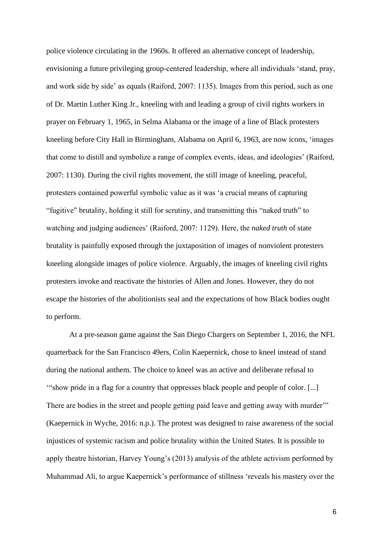police violence circulating in the 1960s. It offered an alternative concept of leadership, envisioning a future privileging group-centered leadership, where all individuals 'stand, pray, and work side by side' as equals (Raiford, 2007: 1135). Images from this period, such as one of Dr. Martin Luther King Jr., kneeling with and leading a group of civil rights workers in prayer on February 1, 1965, in Selma Alabama or the image of a line of Black protesters kneeling before City Hall in Birmingham, Alabama on April 6, 1963, are now icons, 'images that come to distill and symbolize a range of complex events, ideas, and ideologies' (Raiford, 2007: 1130). During the civil rights movement, the still image of kneeling, peaceful, protesters contained powerful symbolic value as it was 'a crucial means of capturing "fugitive" brutality, holding it still for scrutiny, and transmitting this "naked truth" to watching and judging audiences' (Raiford, 2007: 1129). Here, the *naked truth* of state brutality is painfully exposed through the juxtaposition of images of nonviolent protesters kneeling alongside images of police violence. Arguably, the images of kneeling civil rights protesters invoke and reactivate the histories of Allen and Jones. However, they do not escape the histories of the abolitionists seal and the expectations of how Black bodies ought to perform.

At a pre-season game against the San Diego Chargers on September 1, 2016, the NFL quarterback for the San Francisco 49ers, Colin Kaepernick, chose to kneel instead of stand during the national anthem. The choice to kneel was an active and deliberate refusal to '"show pride in a flag for a country that oppresses black people and people of color. [...] There are bodies in the street and people getting paid leave and getting away with murder" (Kaepernick in Wyche, 2016: n.p.). The protest was designed to raise awareness of the social injustices of systemic racism and police brutality within the United States. It is possible to apply theatre historian, Harvey Young's (2013) analysis of the athlete activism performed by Muhammad Ali, to argue Kaepernick's performance of stillness 'reveals his mastery over the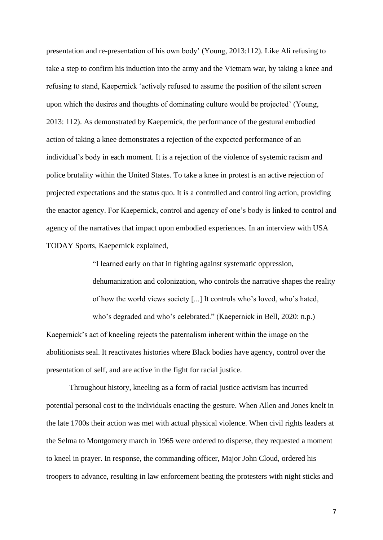presentation and re-presentation of his own body' (Young, 2013:112). Like Ali refusing to take a step to confirm his induction into the army and the Vietnam war, by taking a knee and refusing to stand, Kaepernick 'actively refused to assume the position of the silent screen upon which the desires and thoughts of dominating culture would be projected' (Young, 2013: 112). As demonstrated by Kaepernick, the performance of the gestural embodied action of taking a knee demonstrates a rejection of the expected performance of an individual's body in each moment. It is a rejection of the violence of systemic racism and police brutality within the United States. To take a knee in protest is an active rejection of projected expectations and the status quo. It is a controlled and controlling action, providing the enactor agency. For Kaepernick, control and agency of one's body is linked to control and agency of the narratives that impact upon embodied experiences. In an interview with USA TODAY Sports, Kaepernick explained,

"I learned early on that in fighting against systematic oppression, dehumanization and colonization, who controls the narrative shapes the reality of how the world views society [...] It controls who's loved, who's hated, who's degraded and who's celebrated." (Kaepernick in Bell, 2020: n.p.) Kaepernick's act of kneeling rejects the paternalism inherent within the image on the

abolitionists seal. It reactivates histories where Black bodies have agency, control over the presentation of self, and are active in the fight for racial justice.

Throughout history, kneeling as a form of racial justice activism has incurred potential personal cost to the individuals enacting the gesture. When Allen and Jones knelt in the late 1700s their action was met with actual physical violence. When civil rights leaders at the Selma to Montgomery march in 1965 were ordered to disperse, they requested a moment to kneel in prayer. In response, the commanding officer, Major John Cloud, ordered his troopers to advance, resulting in law enforcement beating the protesters with night sticks and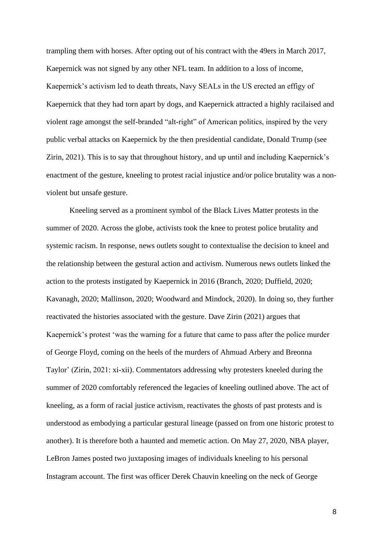trampling them with horses. After opting out of his contract with the 49ers in March 2017, Kaepernick was not signed by any other NFL team. In addition to a loss of income, Kaepernick's activism led to death threats, Navy SEALs in the US erected an effigy of Kaepernick that they had torn apart by dogs, and Kaepernick attracted a highly racilaised and violent rage amongst the self-branded "alt-right" of American politics, inspired by the very public verbal attacks on Kaepernick by the then presidential candidate, Donald Trump (see Zirin, 2021). This is to say that throughout history, and up until and including Kaepernick's enactment of the gesture, kneeling to protest racial injustice and/or police brutality was a nonviolent but unsafe gesture.

Kneeling served as a prominent symbol of the Black Lives Matter protests in the summer of 2020. Across the globe, activists took the knee to protest police brutality and systemic racism. In response, news outlets sought to contextualise the decision to kneel and the relationship between the gestural action and activism. Numerous news outlets linked the action to the protests instigated by Kaepernick in 2016 (Branch, 2020; Duffield, 2020; Kavanagh, 2020; Mallinson, 2020; Woodward and Mindock, 2020). In doing so, they further reactivated the histories associated with the gesture. Dave Zirin (2021) argues that Kaepernick's protest 'was the warning for a future that came to pass after the police murder of George Floyd, coming on the heels of the murders of Ahmuad Arbery and Breonna Taylor' (Zirin, 2021: xi-xii). Commentators addressing why protesters kneeled during the summer of 2020 comfortably referenced the legacies of kneeling outlined above. The act of kneeling, as a form of racial justice activism, reactivates the ghosts of past protests and is understood as embodying a particular gestural lineage (passed on from one historic protest to another). It is therefore both a haunted and memetic action. On May 27, 2020, NBA player, LeBron James posted two juxtaposing images of individuals kneeling to his personal Instagram account. The first was officer Derek Chauvin kneeling on the neck of George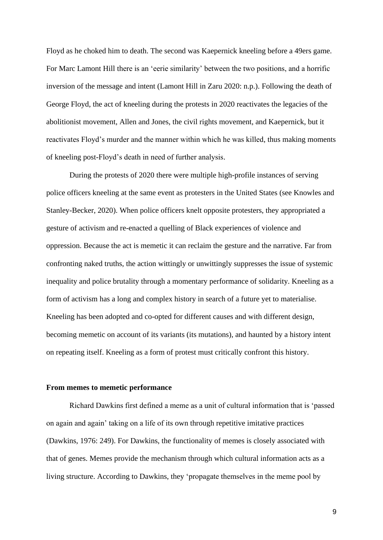Floyd as he choked him to death. The second was Kaepernick kneeling before a 49ers game. For Marc Lamont Hill there is an 'eerie similarity' between the two positions, and a horrific inversion of the message and intent (Lamont Hill in Zaru 2020: n.p.). Following the death of George Floyd, the act of kneeling during the protests in 2020 reactivates the legacies of the abolitionist movement, Allen and Jones, the civil rights movement, and Kaepernick, but it reactivates Floyd's murder and the manner within which he was killed, thus making moments of kneeling post-Floyd's death in need of further analysis.

During the protests of 2020 there were multiple high-profile instances of serving police officers kneeling at the same event as protesters in the United States (see Knowles and Stanley-Becker, 2020). When police officers knelt opposite protesters, they appropriated a gesture of activism and re-enacted a quelling of Black experiences of violence and oppression. Because the act is memetic it can reclaim the gesture and the narrative. Far from confronting naked truths, the action wittingly or unwittingly suppresses the issue of systemic inequality and police brutality through a momentary performance of solidarity. Kneeling as a form of activism has a long and complex history in search of a future yet to materialise. Kneeling has been adopted and co-opted for different causes and with different design, becoming memetic on account of its variants (its mutations), and haunted by a history intent on repeating itself. Kneeling as a form of protest must critically confront this history.

### **From memes to memetic performance**

Richard Dawkins first defined a meme as a unit of cultural information that is 'passed on again and again' taking on a life of its own through repetitive imitative practices (Dawkins, 1976: 249). For Dawkins, the functionality of memes is closely associated with that of genes. Memes provide the mechanism through which cultural information acts as a living structure. According to Dawkins, they 'propagate themselves in the meme pool by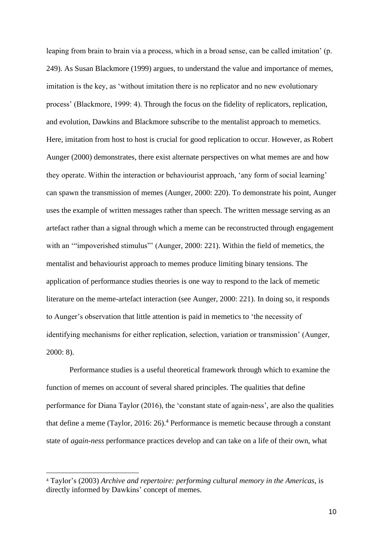leaping from brain to brain via a process, which in a broad sense, can be called imitation' (p. 249). As Susan Blackmore (1999) argues, to understand the value and importance of memes, imitation is the key, as 'without imitation there is no replicator and no new evolutionary process' (Blackmore, 1999: 4). Through the focus on the fidelity of replicators, replication, and evolution, Dawkins and Blackmore subscribe to the mentalist approach to memetics. Here, imitation from host to host is crucial for good replication to occur. However, as Robert Aunger (2000) demonstrates, there exist alternate perspectives on what memes are and how they operate. Within the interaction or behaviourist approach, 'any form of social learning' can spawn the transmission of memes (Aunger, 2000: 220). To demonstrate his point, Aunger uses the example of written messages rather than speech. The written message serving as an artefact rather than a signal through which a meme can be reconstructed through engagement with an '"impoverished stimulus"' (Aunger, 2000: 221). Within the field of memetics, the mentalist and behaviourist approach to memes produce limiting binary tensions. The application of performance studies theories is one way to respond to the lack of memetic literature on the meme-artefact interaction (see Aunger, 2000: 221). In doing so, it responds to Aunger's observation that little attention is paid in memetics to 'the necessity of identifying mechanisms for either replication, selection, variation or transmission' (Aunger, 2000: 8).

Performance studies is a useful theoretical framework through which to examine the function of memes on account of several shared principles. The qualities that define performance for Diana Taylor (2016), the 'constant state of again-ness', are also the qualities that define a meme (Taylor, 2016:  $26$ ).<sup>4</sup> Performance is memetic because through a constant state of *again-ness* performance practices develop and can take on a life of their own, what

<sup>4</sup> Taylor's (2003) *Archive and repertoire: performing cultural memory in the Americas*, is directly informed by Dawkins' concept of memes.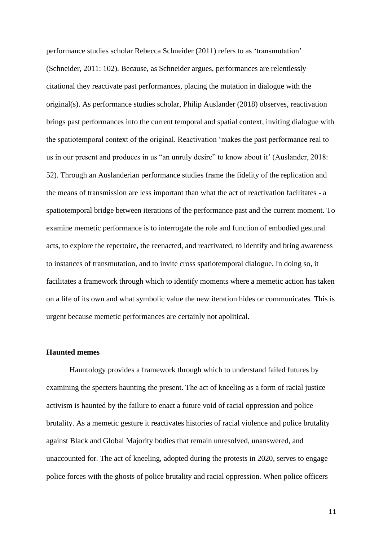performance studies scholar Rebecca Schneider (2011) refers to as 'transmutation' (Schneider, 2011: 102). Because, as Schneider argues, performances are relentlessly citational they reactivate past performances, placing the mutation in dialogue with the original(s). As performance studies scholar, Philip Auslander (2018) observes, reactivation brings past performances into the current temporal and spatial context, inviting dialogue with the spatiotemporal context of the original. Reactivation 'makes the past performance real to us in our present and produces in us "an unruly desire" to know about it' (Auslander, 2018: 52). Through an Auslanderian performance studies frame the fidelity of the replication and the means of transmission are less important than what the act of reactivation facilitates - a spatiotemporal bridge between iterations of the performance past and the current moment. To examine memetic performance is to interrogate the role and function of embodied gestural acts, to explore the repertoire, the reenacted, and reactivated, to identify and bring awareness to instances of transmutation, and to invite cross spatiotemporal dialogue. In doing so, it facilitates a framework through which to identify moments where a memetic action has taken on a life of its own and what symbolic value the new iteration hides or communicates. This is urgent because memetic performances are certainly not apolitical.

# **Haunted memes**

Hauntology provides a framework through which to understand failed futures by examining the specters haunting the present. The act of kneeling as a form of racial justice activism is haunted by the failure to enact a future void of racial oppression and police brutality. As a memetic gesture it reactivates histories of racial violence and police brutality against Black and Global Majority bodies that remain unresolved, unanswered, and unaccounted for. The act of kneeling, adopted during the protests in 2020, serves to engage police forces with the ghosts of police brutality and racial oppression. When police officers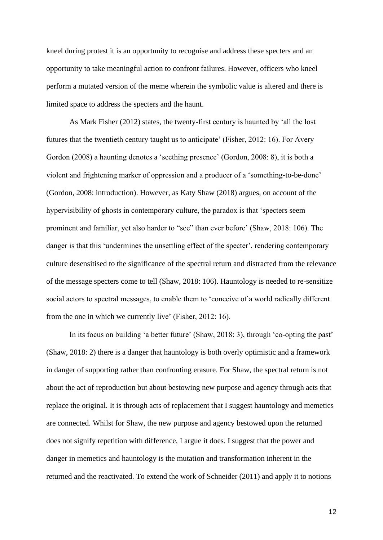kneel during protest it is an opportunity to recognise and address these specters and an opportunity to take meaningful action to confront failures. However, officers who kneel perform a mutated version of the meme wherein the symbolic value is altered and there is limited space to address the specters and the haunt.

As Mark Fisher (2012) states, the twenty-first century is haunted by 'all the lost futures that the twentieth century taught us to anticipate' (Fisher, 2012: 16). For Avery Gordon (2008) a haunting denotes a 'seething presence' (Gordon, 2008: 8), it is both a violent and frightening marker of oppression and a producer of a 'something-to-be-done' (Gordon, 2008: introduction). However, as Katy Shaw (2018) argues, on account of the hypervisibility of ghosts in contemporary culture, the paradox is that 'specters seem prominent and familiar, yet also harder to "see" than ever before' (Shaw, 2018: 106). The danger is that this 'undermines the unsettling effect of the specter', rendering contemporary culture desensitised to the significance of the spectral return and distracted from the relevance of the message specters come to tell (Shaw, 2018: 106). Hauntology is needed to re-sensitize social actors to spectral messages, to enable them to 'conceive of a world radically different from the one in which we currently live' (Fisher, 2012: 16).

In its focus on building 'a better future' (Shaw, 2018: 3), through 'co-opting the past' (Shaw, 2018: 2) there is a danger that hauntology is both overly optimistic and a framework in danger of supporting rather than confronting erasure. For Shaw, the spectral return is not about the act of reproduction but about bestowing new purpose and agency through acts that replace the original. It is through acts of replacement that I suggest hauntology and memetics are connected. Whilst for Shaw, the new purpose and agency bestowed upon the returned does not signify repetition with difference, I argue it does. I suggest that the power and danger in memetics and hauntology is the mutation and transformation inherent in the returned and the reactivated. To extend the work of Schneider (2011) and apply it to notions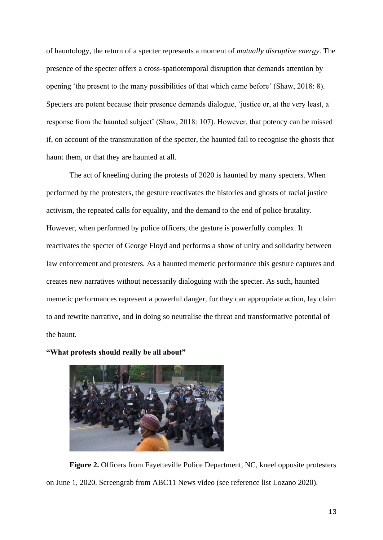of hauntology, the return of a specter represents a moment of *mutually disruptive energy*. The presence of the specter offers a cross-spatiotemporal disruption that demands attention by opening 'the present to the many possibilities of that which came before' (Shaw, 2018: 8). Specters are potent because their presence demands dialogue, 'justice or, at the very least, a response from the haunted subject' (Shaw, 2018: 107). However, that potency can be missed if, on account of the transmutation of the specter, the haunted fail to recognise the ghosts that haunt them, or that they are haunted at all.

The act of kneeling during the protests of 2020 is haunted by many specters. When performed by the protesters, the gesture reactivates the histories and ghosts of racial justice activism, the repeated calls for equality, and the demand to the end of police brutality. However, when performed by police officers, the gesture is powerfully complex. It reactivates the specter of George Floyd and performs a show of unity and solidarity between law enforcement and protesters. As a haunted memetic performance this gesture captures and creates new narratives without necessarily dialoguing with the specter. As such, haunted memetic performances represent a powerful danger, for they can appropriate action, lay claim to and rewrite narrative, and in doing so neutralise the threat and transformative potential of the haunt.

**"What protests should really be all about"**



**Figure 2.** Officers from Fayetteville Police Department, NC, kneel opposite protesters on June 1, 2020. Screengrab from ABC11 News video (see reference list Lozano 2020).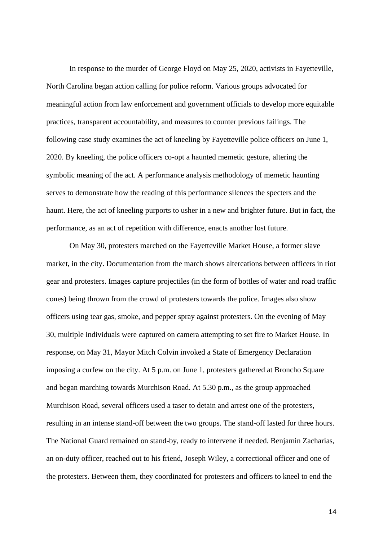In response to the murder of George Floyd on May 25, 2020, activists in Fayetteville, North Carolina began action calling for police reform. Various groups advocated for meaningful action from law enforcement and government officials to develop more equitable practices, transparent accountability, and measures to counter previous failings. The following case study examines the act of kneeling by Fayetteville police officers on June 1, 2020. By kneeling, the police officers co-opt a haunted memetic gesture, altering the symbolic meaning of the act. A performance analysis methodology of memetic haunting serves to demonstrate how the reading of this performance silences the specters and the haunt. Here, the act of kneeling purports to usher in a new and brighter future. But in fact, the performance, as an act of repetition with difference, enacts another lost future.

On May 30, protesters marched on the Fayetteville Market House, a former slave market, in the city. Documentation from the march shows altercations between officers in riot gear and protesters. Images capture projectiles (in the form of bottles of water and road traffic cones) being thrown from the crowd of protesters towards the police. Images also show officers using tear gas, smoke, and pepper spray against protesters. On the evening of May 30, multiple individuals were captured on camera attempting to set fire to Market House. In response, on May 31, Mayor Mitch Colvin invoked a State of Emergency Declaration imposing a curfew on the city. At 5 p.m. on June 1, protesters gathered at Broncho Square and began marching towards Murchison Road. At 5.30 p.m., as the group approached Murchison Road, several officers used a taser to detain and arrest one of the protesters, resulting in an intense stand-off between the two groups. The stand-off lasted for three hours. The National Guard remained on stand-by, ready to intervene if needed. Benjamin Zacharias, an on-duty officer, reached out to his friend, Joseph Wiley, a correctional officer and one of the protesters. Between them, they coordinated for protesters and officers to kneel to end the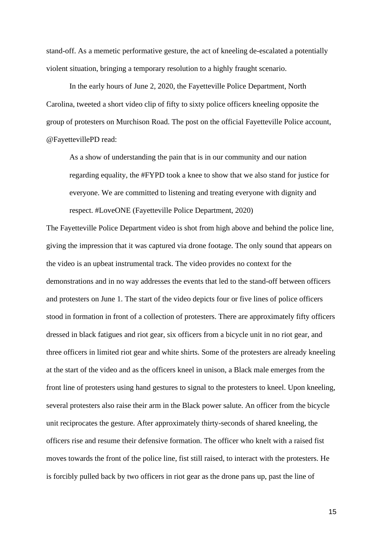stand-off. As a memetic performative gesture, the act of kneeling de-escalated a potentially violent situation, bringing a temporary resolution to a highly fraught scenario.

In the early hours of June 2, 2020, the Fayetteville Police Department, North Carolina, tweeted a short video clip of fifty to sixty police officers kneeling opposite the group of protesters on Murchison Road. The post on the official Fayetteville Police account, @FayettevillePD read:

As a show of understanding the pain that is in our community and our nation regarding equality, the #FYPD took a knee to show that we also stand for justice for everyone. We are committed to listening and treating everyone with dignity and respect. #LoveONE (Fayetteville Police Department, 2020)

The Fayetteville Police Department video is shot from high above and behind the police line, giving the impression that it was captured via drone footage. The only sound that appears on the video is an upbeat instrumental track. The video provides no context for the demonstrations and in no way addresses the events that led to the stand-off between officers and protesters on June 1. The start of the video depicts four or five lines of police officers stood in formation in front of a collection of protesters. There are approximately fifty officers dressed in black fatigues and riot gear, six officers from a bicycle unit in no riot gear, and three officers in limited riot gear and white shirts. Some of the protesters are already kneeling at the start of the video and as the officers kneel in unison, a Black male emerges from the front line of protesters using hand gestures to signal to the protesters to kneel. Upon kneeling, several protesters also raise their arm in the Black power salute. An officer from the bicycle unit reciprocates the gesture. After approximately thirty-seconds of shared kneeling, the officers rise and resume their defensive formation. The officer who knelt with a raised fist moves towards the front of the police line, fist still raised, to interact with the protesters. He is forcibly pulled back by two officers in riot gear as the drone pans up, past the line of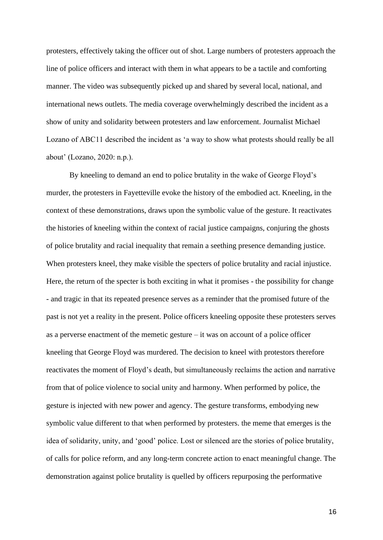protesters, effectively taking the officer out of shot. Large numbers of protesters approach the line of police officers and interact with them in what appears to be a tactile and comforting manner. The video was subsequently picked up and shared by several local, national, and international news outlets. The media coverage overwhelmingly described the incident as a show of unity and solidarity between protesters and law enforcement. Journalist Michael Lozano of ABC11 described the incident as 'a way to show what protests should really be all about' (Lozano, 2020: n.p.).

By kneeling to demand an end to police brutality in the wake of George Floyd's murder, the protesters in Fayetteville evoke the history of the embodied act. Kneeling, in the context of these demonstrations, draws upon the symbolic value of the gesture. It reactivates the histories of kneeling within the context of racial justice campaigns, conjuring the ghosts of police brutality and racial inequality that remain a seething presence demanding justice. When protesters kneel, they make visible the specters of police brutality and racial injustice. Here, the return of the specter is both exciting in what it promises - the possibility for change - and tragic in that its repeated presence serves as a reminder that the promised future of the past is not yet a reality in the present. Police officers kneeling opposite these protesters serves as a perverse enactment of the memetic gesture – it was on account of a police officer kneeling that George Floyd was murdered. The decision to kneel with protestors therefore reactivates the moment of Floyd's death, but simultaneously reclaims the action and narrative from that of police violence to social unity and harmony. When performed by police, the gesture is injected with new power and agency. The gesture transforms, embodying new symbolic value different to that when performed by protesters. the meme that emerges is the idea of solidarity, unity, and 'good' police. Lost or silenced are the stories of police brutality, of calls for police reform, and any long-term concrete action to enact meaningful change. The demonstration against police brutality is quelled by officers repurposing the performative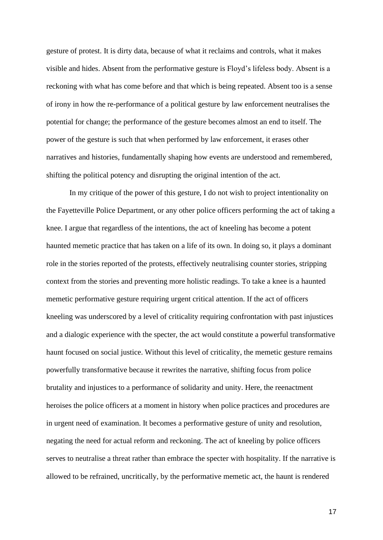gesture of protest. It is dirty data, because of what it reclaims and controls, what it makes visible and hides. Absent from the performative gesture is Floyd's lifeless body. Absent is a reckoning with what has come before and that which is being repeated. Absent too is a sense of irony in how the re-performance of a political gesture by law enforcement neutralises the potential for change; the performance of the gesture becomes almost an end to itself. The power of the gesture is such that when performed by law enforcement, it erases other narratives and histories, fundamentally shaping how events are understood and remembered, shifting the political potency and disrupting the original intention of the act.

In my critique of the power of this gesture, I do not wish to project intentionality on the Fayetteville Police Department, or any other police officers performing the act of taking a knee. I argue that regardless of the intentions, the act of kneeling has become a potent haunted memetic practice that has taken on a life of its own. In doing so, it plays a dominant role in the stories reported of the protests, effectively neutralising counter stories, stripping context from the stories and preventing more holistic readings. To take a knee is a haunted memetic performative gesture requiring urgent critical attention. If the act of officers kneeling was underscored by a level of criticality requiring confrontation with past injustices and a dialogic experience with the specter, the act would constitute a powerful transformative haunt focused on social justice. Without this level of criticality, the memetic gesture remains powerfully transformative because it rewrites the narrative, shifting focus from police brutality and injustices to a performance of solidarity and unity. Here, the reenactment heroises the police officers at a moment in history when police practices and procedures are in urgent need of examination. It becomes a performative gesture of unity and resolution, negating the need for actual reform and reckoning. The act of kneeling by police officers serves to neutralise a threat rather than embrace the specter with hospitality. If the narrative is allowed to be refrained, uncritically, by the performative memetic act, the haunt is rendered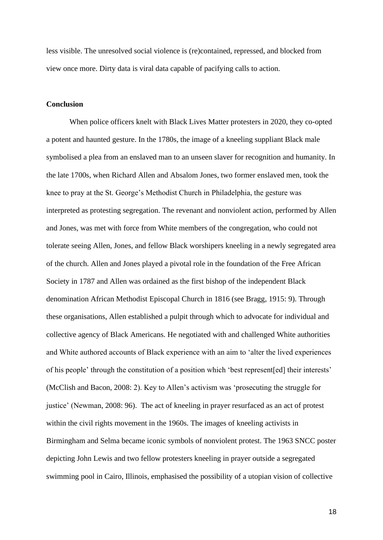less visible. The unresolved social violence is (re)contained, repressed, and blocked from view once more. Dirty data is viral data capable of pacifying calls to action.

## **Conclusion**

When police officers knelt with Black Lives Matter protesters in 2020, they co-opted a potent and haunted gesture. In the 1780s, the image of a kneeling suppliant Black male symbolised a plea from an enslaved man to an unseen slaver for recognition and humanity. In the late 1700s, when Richard Allen and Absalom Jones, two former enslaved men, took the knee to pray at the St. George's Methodist Church in Philadelphia, the gesture was interpreted as protesting segregation. The revenant and nonviolent action, performed by Allen and Jones, was met with force from White members of the congregation, who could not tolerate seeing Allen, Jones, and fellow Black worshipers kneeling in a newly segregated area of the church. Allen and Jones played a pivotal role in the foundation of the Free African Society in 1787 and Allen was ordained as the first bishop of the independent Black denomination African Methodist Episcopal Church in 1816 (see Bragg, 1915: 9). Through these organisations, Allen established a pulpit through which to advocate for individual and collective agency of Black Americans. He negotiated with and challenged White authorities and White authored accounts of Black experience with an aim to 'alter the lived experiences of his people' through the constitution of a position which 'best represent[ed] their interests' (McClish and Bacon, 2008: 2). Key to Allen's activism was 'prosecuting the struggle for justice' (Newman, 2008: 96). The act of kneeling in prayer resurfaced as an act of protest within the civil rights movement in the 1960s. The images of kneeling activists in Birmingham and Selma became iconic symbols of nonviolent protest. The 1963 SNCC poster depicting John Lewis and two fellow protesters kneeling in prayer outside a segregated swimming pool in Cairo, Illinois, emphasised the possibility of a utopian vision of collective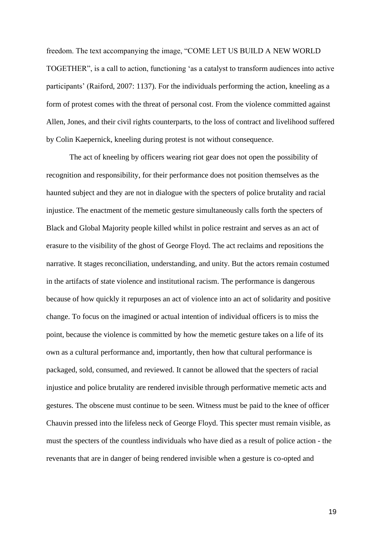freedom. The text accompanying the image, "COME LET US BUILD A NEW WORLD TOGETHER", is a call to action, functioning 'as a catalyst to transform audiences into active participants' (Raiford, 2007: 1137). For the individuals performing the action, kneeling as a form of protest comes with the threat of personal cost. From the violence committed against Allen, Jones, and their civil rights counterparts, to the loss of contract and livelihood suffered by Colin Kaepernick, kneeling during protest is not without consequence.

The act of kneeling by officers wearing riot gear does not open the possibility of recognition and responsibility, for their performance does not position themselves as the haunted subject and they are not in dialogue with the specters of police brutality and racial injustice. The enactment of the memetic gesture simultaneously calls forth the specters of Black and Global Majority people killed whilst in police restraint and serves as an act of erasure to the visibility of the ghost of George Floyd. The act reclaims and repositions the narrative. It stages reconciliation, understanding, and unity. But the actors remain costumed in the artifacts of state violence and institutional racism. The performance is dangerous because of how quickly it repurposes an act of violence into an act of solidarity and positive change. To focus on the imagined or actual intention of individual officers is to miss the point, because the violence is committed by how the memetic gesture takes on a life of its own as a cultural performance and, importantly, then how that cultural performance is packaged, sold, consumed, and reviewed. It cannot be allowed that the specters of racial injustice and police brutality are rendered invisible through performative memetic acts and gestures. The obscene must continue to be seen. Witness must be paid to the knee of officer Chauvin pressed into the lifeless neck of George Floyd. This specter must remain visible, as must the specters of the countless individuals who have died as a result of police action - the revenants that are in danger of being rendered invisible when a gesture is co-opted and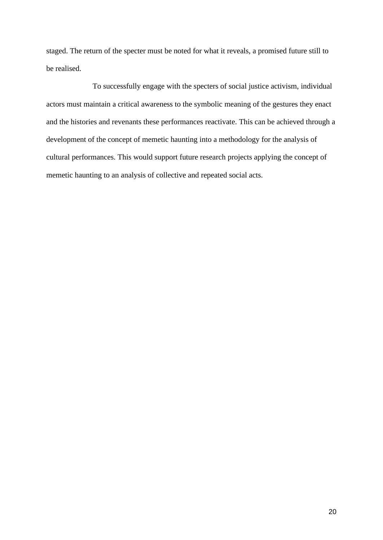staged. The return of the specter must be noted for what it reveals, a promised future still to be realised.

To successfully engage with the specters of social justice activism, individual actors must maintain a critical awareness to the symbolic meaning of the gestures they enact and the histories and revenants these performances reactivate. This can be achieved through a development of the concept of memetic haunting into a methodology for the analysis of cultural performances. This would support future research projects applying the concept of memetic haunting to an analysis of collective and repeated social acts.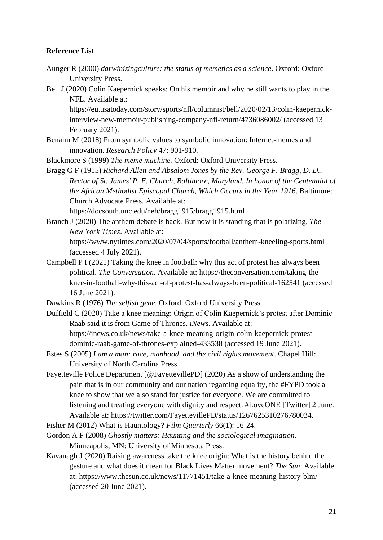## **Reference List**

- Aunger R (2000) *darwinizingculture: the status of memetics as a science*. Oxford: Oxford University Press.
- Bell J (2020) Colin Kaepernick speaks: On his memoir and why he still wants to play in the NFL. Available at:

https://eu.usatoday.com/story/sports/nfl/columnist/bell/2020/02/13/colin-kaepernickinterview-new-memoir-publishing-company-nfl-return/4736086002/ (accessed 13 February 2021).

- Benaim M (2018) From symbolic values to symbolic innovation: Internet-memes and innovation. *Research Policy* 47: 901-910.
- Blackmore S (1999) *The meme machine.* Oxford: Oxford University Press.
- Bragg G F (1915) *Richard Allen and Absalom Jones by the Rev. George F. Bragg, D. D., Rector of St. James' P. E. Church, Baltimore, Maryland. In honor of the Centennial of the African Methodist Episcopal Church, Which Occurs in the Year 1916*. Baltimore: Church Advocate Press. Available at:

https://docsouth.unc.edu/neh/bragg1915/bragg1915.html

- Branch J (2020) The anthem debate is back. But now it is standing that is polarizing. *The New York Times*. Available at: https://www.nytimes.com/2020/07/04/sports/football/anthem-kneeling-sports.html (accessed 4 July 2021).
- Campbell P I (2021) Taking the knee in football: why this act of protest has always been political. *The Conversation*. Available at: https://theconversation.com/taking-theknee-in-football-why-this-act-of-protest-has-always-been-political-162541 (accessed 16 June 2021).
- Dawkins R (1976) *The selfish gene*. Oxford: Oxford University Press.
- Duffield C (2020) Take a knee meaning: Origin of Colin Kaepernick's protest after Dominic Raab said it is from Game of Thrones. *iNews*. Available at: https://inews.co.uk/news/take-a-knee-meaning-origin-colin-kaepernick-protestdominic-raab-game-of-thrones-explained-433538 (accessed 19 June 2021).
- Estes S (2005) *I am a man: race, manhood, and the civil rights movement*. Chapel Hill: University of North Carolina Press.
- Fayetteville Police Department [@FayettevillePD] (2020) As a show of understanding the pain that is in our community and our nation regarding equality, the #FYPD took a knee to show that we also stand for justice for everyone. We are committed to listening and treating everyone with dignity and respect. #LoveONE [Twitter] 2 June. Available at: https://twitter.com/FayettevillePD/status/1267625310276780034.
- Fisher M (2012) What is Hauntology? *Film Quarterly* 66(1): 16-24.
- Gordon A F (2008) *Ghostly matters: Haunting and the sociological imagination.* Minneapolis, MN: University of Minnesota Press.
- Kavanagh J (2020) Raising awareness take the knee origin: What is the history behind the gesture and what does it mean for Black Lives Matter movement? *The Sun*. Available at: https://www.thesun.co.uk/news/11771451/take-a-knee-meaning-history-blm/ (accessed 20 June 2021).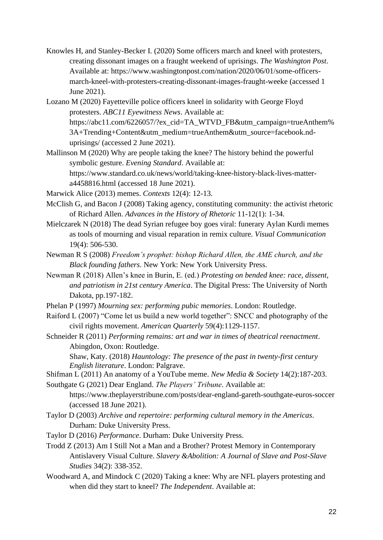- Knowles H, and Stanley-Becker I. (2020) Some officers march and kneel with protesters, creating dissonant images on a fraught weekend of uprisings. *The Washington Post*. Available at: https://www.washingtonpost.com/nation/2020/06/01/some-officersmarch-kneel-with-protesters-creating-dissonant-images-fraught-weeke (accessed 1 June 2021).
- Lozano M (2020) Fayetteville police officers kneel in solidarity with George Floyd protesters. *ABC11 Eyewitness News*. Available at: https://abc11.com/6226057/?ex\_cid=TA\_WTVD\_FB&utm\_campaign=trueAnthem% 3A+Trending+Content&utm\_medium=trueAnthem&utm\_source=facebook.nduprisings/ (accessed 2 June 2021).
- Mallinson M (2020) Why are people taking the knee? The history behind the powerful symbolic gesture. *Evening Standard*. Available at: https://www.standard.co.uk/news/world/taking-knee-history-black-lives-matter-

a4458816.html (accessed 18 June 2021).

Marwick Alice (2013) memes. *Contexts* 12(4): 12-13.

- McClish G, and Bacon J (2008) Taking agency, constituting community: the activist rhetoric of Richard Allen. *Advances in the History of Rhetoric* 11-12(1): 1-34.
- Mielczarek N (2018) The dead Syrian refugee boy goes viral: funerary Aylan Kurdi memes as tools of mourning and visual reparation in remix culture. *Visual Communication* 19(4): 506-530.
- Newman R S (2008) *Freedom's prophet: bishop Richard Allen, the AME church, and the Black founding fathers*. New York: New York University Press.
- Newman R (2018) Allen's knee in Burin, E. (ed.) *Protesting on bended knee: race, dissent, and patriotism in 21st century America*. The Digital Press: The University of North Dakota, pp.197-182.
- Phelan P (1997) *Mourning sex: performing pubic memories*. London: Routledge.
- Raiford L (2007) "Come let us build a new world together": SNCC and photography of the civil rights movement. *American Quarterly* 59(4):1129-1157.
- Schneider R (2011) *Performing remains: art and war in times of theatrical reenactment*. Abingdon, Oxon: Routledge.

Shaw, Katy. (2018) *Hauntology: The presence of the past in twenty-first century English literature*. London: Palgrave.

Shifman L (2011) An anatomy of a YouTube meme. *New Media & Society* 14(2):187-203.

Southgate G (2021) Dear England. *The Players' Tribune*. Available at: https://www.theplayerstribune.com/posts/dear-england-gareth-southgate-euros-soccer (accessed 18 June 2021).

- Taylor D (2003) *Archive and repertoire: performing cultural memory in the Americas*. Durham: Duke University Press.
- Taylor D (2016) *Performance*. Durham: Duke University Press.
- Trodd Z (2013) Am I Still Not a Man and a Brother? Protest Memory in Contemporary Antislavery Visual Culture. *Slavery &Abolition: A Journal of Slave and Post-Slave Studies* 34(2): 338-352.
- Woodward A, and Mindock C (2020) Taking a knee: Why are NFL players protesting and when did they start to kneel? *The Independent*. Available at: